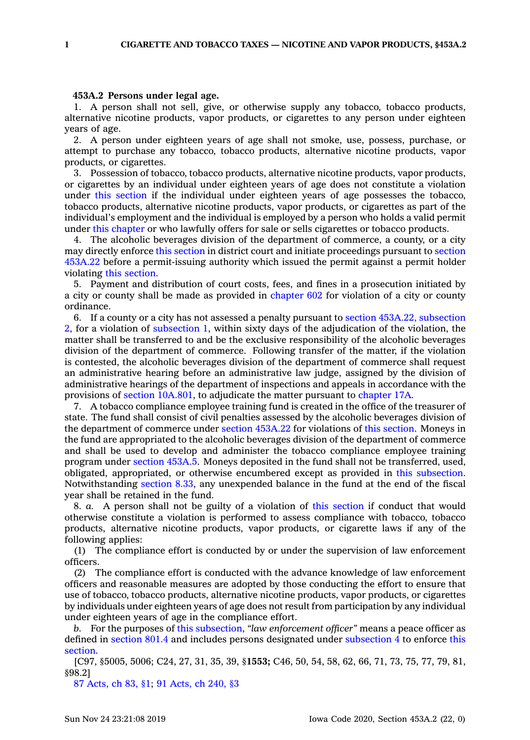## **453A.2 Persons under legal age.**

1. A person shall not sell, give, or otherwise supply any tobacco, tobacco products, alternative nicotine products, vapor products, or cigarettes to any person under eighteen years of age.

2. A person under eighteen years of age shall not smoke, use, possess, purchase, or attempt to purchase any tobacco, tobacco products, alternative nicotine products, vapor products, or cigarettes.

3. Possession of tobacco, tobacco products, alternative nicotine products, vapor products, or cigarettes by an individual under eighteen years of age does not constitute <sup>a</sup> violation under this [section](https://www.legis.iowa.gov/docs/code/453A.2.pdf) if the individual under eighteen years of age possesses the tobacco, tobacco products, alternative nicotine products, vapor products, or cigarettes as part of the individual's employment and the individual is employed by <sup>a</sup> person who holds <sup>a</sup> valid permit under this [chapter](https://www.legis.iowa.gov/docs/code//453A.pdf) or who lawfully offers for sale or sells cigarettes or tobacco products.

4. The alcoholic beverages division of the department of commerce, <sup>a</sup> county, or <sup>a</sup> city may directly enforce this [section](https://www.legis.iowa.gov/docs/code/453A.2.pdf) in district court and initiate proceedings pursuant to [section](https://www.legis.iowa.gov/docs/code/453A.22.pdf) [453A.22](https://www.legis.iowa.gov/docs/code/453A.22.pdf) before <sup>a</sup> permit-issuing authority which issued the permit against <sup>a</sup> permit holder violating this [section](https://www.legis.iowa.gov/docs/code/453A.2.pdf).

5. Payment and distribution of court costs, fees, and fines in <sup>a</sup> prosecution initiated by <sup>a</sup> city or county shall be made as provided in [chapter](https://www.legis.iowa.gov/docs/code//602.pdf) 602 for violation of <sup>a</sup> city or county ordinance.

6. If <sup>a</sup> county or <sup>a</sup> city has not assessed <sup>a</sup> penalty pursuant to section 453A.22, [subsection](https://www.legis.iowa.gov/docs/code/453A.22.pdf) [2](https://www.legis.iowa.gov/docs/code/453A.22.pdf), for <sup>a</sup> violation of [subsection](https://www.legis.iowa.gov/docs/code/453A.2.pdf) 1, within sixty days of the adjudication of the violation, the matter shall be transferred to and be the exclusive responsibility of the alcoholic beverages division of the department of commerce. Following transfer of the matter, if the violation is contested, the alcoholic beverages division of the department of commerce shall request an administrative hearing before an administrative law judge, assigned by the division of administrative hearings of the department of inspections and appeals in accordance with the provisions of section [10A.801](https://www.legis.iowa.gov/docs/code/10A.801.pdf), to adjudicate the matter pursuant to [chapter](https://www.legis.iowa.gov/docs/code//17A.pdf) 17A.

7. A tobacco compliance employee training fund is created in the office of the treasurer of state. The fund shall consist of civil penalties assessed by the alcoholic beverages division of the department of commerce under section [453A.22](https://www.legis.iowa.gov/docs/code/453A.22.pdf) for violations of this [section](https://www.legis.iowa.gov/docs/code/453A.2.pdf). Moneys in the fund are appropriated to the alcoholic beverages division of the department of commerce and shall be used to develop and administer the tobacco compliance employee training program under [section](https://www.legis.iowa.gov/docs/code/453A.5.pdf) 453A.5. Moneys deposited in the fund shall not be transferred, used, obligated, appropriated, or otherwise encumbered except as provided in this [subsection](https://www.legis.iowa.gov/docs/code/453A.2.pdf). Notwithstanding [section](https://www.legis.iowa.gov/docs/code/8.33.pdf) 8.33, any unexpended balance in the fund at the end of the fiscal year shall be retained in the fund.

8. *a.* A person shall not be guilty of <sup>a</sup> violation of this [section](https://www.legis.iowa.gov/docs/code/453A.2.pdf) if conduct that would otherwise constitute <sup>a</sup> violation is performed to assess compliance with tobacco, tobacco products, alternative nicotine products, vapor products, or cigarette laws if any of the following applies:

(1) The compliance effort is conducted by or under the supervision of law enforcement officers.

(2) The compliance effort is conducted with the advance knowledge of law enforcement officers and reasonable measures are adopted by those conducting the effort to ensure that use of tobacco, tobacco products, alternative nicotine products, vapor products, or cigarettes by individuals under eighteen years of age does not result from participation by any individual under eighteen years of age in the compliance effort.

*b.* For the purposes of this [subsection](https://www.legis.iowa.gov/docs/code/453A.2.pdf), *"law enforcement officer"* means <sup>a</sup> peace officer as defined in [section](https://www.legis.iowa.gov/docs/code/801.4.pdf) 801.4 and includes persons designated under [subsection](https://www.legis.iowa.gov/docs/code/453A.2.pdf) 4 to enforce [this](https://www.legis.iowa.gov/docs/code/453A.2.pdf) [section](https://www.legis.iowa.gov/docs/code/453A.2.pdf).

[C97, §5005, 5006; C24, 27, 31, 35, 39, §**1553;** C46, 50, 54, 58, 62, 66, 71, 73, 75, 77, 79, 81, §98.2]

87 [Acts,](https://www.legis.iowa.gov/docs/acts/87/CH0083.pdf) ch 83, §1; 91 [Acts,](https://www.legis.iowa.gov/docs/acts/91/CH0240.pdf) ch 240, §3